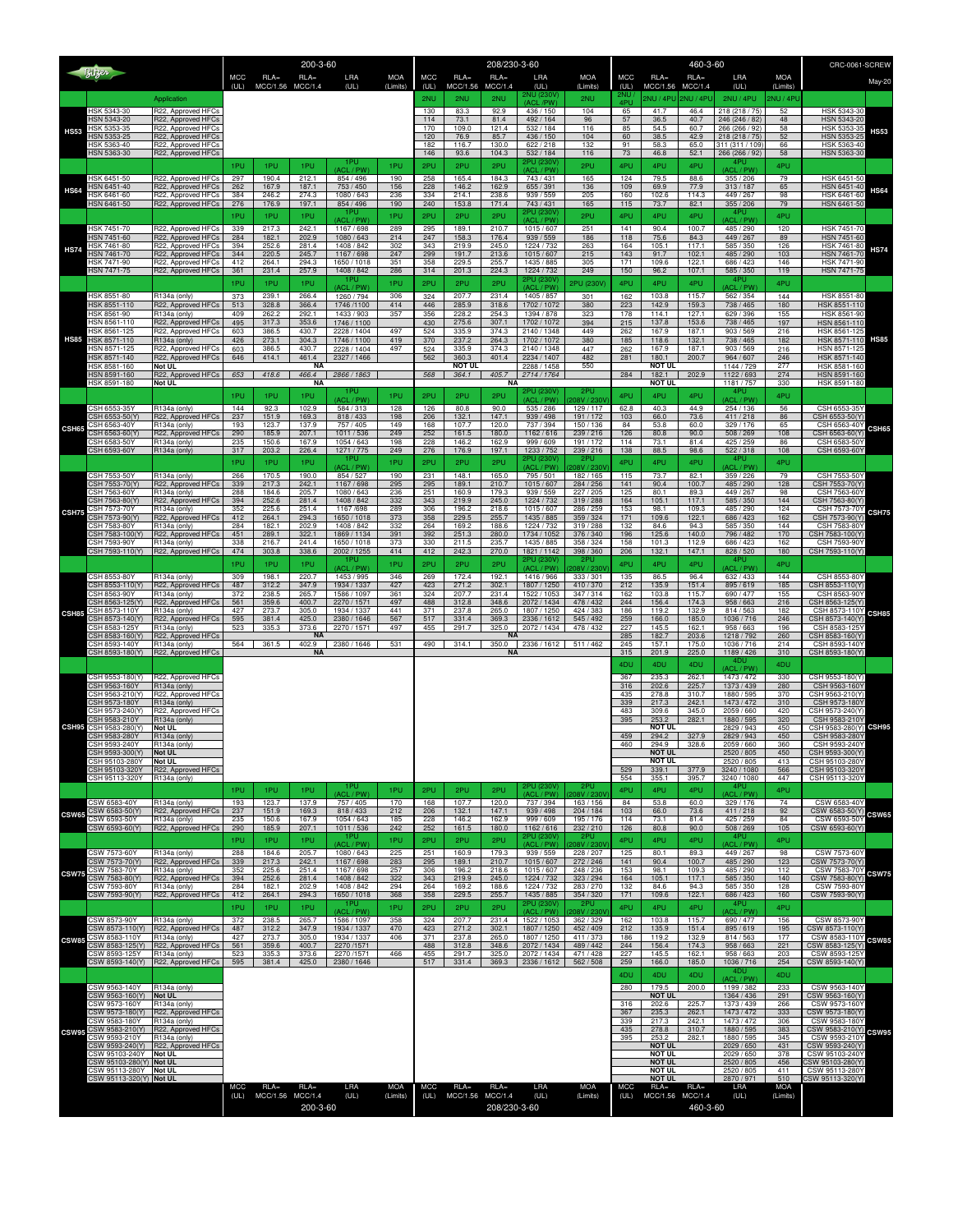| Bitzer       |                                                  |                                                    | 200-3-60    |                             |                          |                            | 208/230-3-60           |             |                            |                    |                                 |                          |             | CRC-0061-SCREW                 |                             |                                   |                        |                                   |              |
|--------------|--------------------------------------------------|----------------------------------------------------|-------------|-----------------------------|--------------------------|----------------------------|------------------------|-------------|----------------------------|--------------------|---------------------------------|--------------------------|-------------|--------------------------------|-----------------------------|-----------------------------------|------------------------|-----------------------------------|--------------|
|              |                                                  |                                                    | MCC<br>(UL) | $RLA =$<br>MCC/1.56         | $RLA=$<br><b>MCC/1.4</b> | LRA<br>(UL)                | <b>MOA</b><br>(Limits) | MCC<br>(UL) | $RLA=$<br>MCC/1.56         | $RLA=$<br>MCC/1.4  | LRA<br>(UL)                     | <b>MOA</b><br>(Limits)   | MCC<br>(UL) | $RLA=$<br>MCC/1.56             | $RLA =$<br>MCC/1.4          | LRA<br>(UL)                       | <b>MOA</b><br>(Limits) |                                   | May-20       |
|              |                                                  | Application                                        |             |                             |                          |                            |                        | 2NU         | 2NU                        | 2NU                | 2NU (230\<br>(ACL/PW)           | 2NU                      | 4PU         | 2NU / 4PU                      | 2NU / 4PU                   | 2NU / 4PU                         | NU / 4P                |                                   |              |
|              | <b>HSK 5343-30</b><br>HSN 5343-20                | R22, Approved HFCs<br>R22, Approved HFCs           |             |                             |                          |                            |                        | 130<br>114  | 83.3<br>73.1               | 92.9<br>81.4       | 436 / 150<br>492 / 164          | 104<br>96                | 65<br>57    | 41.7<br>36.5                   | 46.4<br>40.7                | 218 (218 / 75)<br>246 (246 / 82)  | 52<br>48               | HSK 5343-30<br>HSN 5343-20        |              |
| <b>HS53</b>  | <b>HSK 5353-35</b><br>HSN 5353-25                | R22, Approved HFCs<br>R22, Approved HFCs           |             |                             |                          |                            |                        | 170         | 109.0                      | 121.4              | 532 / 184                       | 116                      | 85          | 54.5                           | 60.7                        | 266 (266 / 92)                    | 58                     | HSK 5353-3                        | <b>HS53</b>  |
|              | HSK 5363-40                                      | R22, Approved HFCs                                 |             |                             |                          |                            |                        | 120<br>182  | 76.9<br>116.7              | 85.7<br>130.0      | 436 / 150<br>622/218            | 104<br>132               | 60<br>91    | 38.5<br>58.3                   | 42.9<br>65.0                | 218 (218 / 75)<br>311 (311 / 109) | 52<br>66               | HSN 5353-25<br>HSK 5363-40        |              |
|              | HSN 5363-30                                      | R22, Approved HFCs                                 | 1PU         | 1PU                         | 1PU                      | 1PL                        | 1PU                    | 146<br>2PU  | 93.6<br>2PU                | 104.3<br>2PU       | 532 / 184<br>2PU (230)          | 116<br>2PU               | 73<br>4PU   | 46.8<br>4PU                    | 52.1<br>4PU                 | 266 (266 / 92)<br>4PU             | 58<br>4PU              | HSN 5363-30                       |              |
|              | HSK 6451-50                                      | R22, Approved HFCs                                 | 297         | 190.4                       | 212.1                    | <b>ACL/PW</b><br>854 / 496 | 190                    | 258         | 165.4                      | 184.3              | ACL/PW<br>743 / 431             | 165                      | 124         | 79.5                           | 88.6                        | (ACL / PW<br>355 / 206            | 79                     | HSK 6451-50                       |              |
| <b>HS64</b>  | HSN 6451-40<br><b>ISK 6461-60</b>                | R22, Approved HFCs<br>R22, Approved HFCs           | 262<br>384  | 167.9<br>246.2              | 187.1<br>274.3           | 753 / 450<br>1080 / 643    | 156<br>236             | 228<br>334  | 146.2<br>214.1             | 162.9<br>238.6     | 655 / 391<br>939 / 559          | 136<br>205               | 109<br>160  | 69.9<br>102.6                  | 77.9<br>114.3               | 313/187<br>449 / 267              | 65<br>98               | HSN 6451-40<br>HSK 6461-60        | <b>HS64</b>  |
|              | HSN 6461-50                                      | R22, Approved HFCs                                 | 276         | 176.9                       | 197.1                    | 854 / 496<br>1PU           | 190                    | 240         | 153.8                      | 171.4              | 743 / 431<br>2PU (230)          | 165                      | 115         | 73.7                           | 82.1                        | 355 / 206<br>4PU                  | 79                     | HSN 6461-50                       |              |
|              | <b>HSK 7451-70</b>                               | R22, Approved HFCs                                 | 1PU<br>339  | 1PU<br>217.3                | 1PU<br>242.1             | (ACL / PW<br>1167/698      | 1PU<br>289             | 2PU<br>295  | 2PU<br>189.1               | 2PU<br>210.7       | / PW<br>1015/607                | 2PU<br>251               | 4PU<br>141  | 4PU<br>90.4                    | 4PU<br>100.7                | ACL / PW<br>485/290               | 4PU<br>120             | <b>HSK 7451-70</b>                |              |
|              | HSN 7451-60<br>HSK 7461-80                       | R22, Approved HFCs                                 | 284         | 182.1                       | 202.9                    | 1080 / 643                 | 214                    | 247         | 158.3                      | 176.4              | 939 / 559                       | 186                      | 118         | 75.6                           | 84.3                        | 449 / 267                         | 89                     | HSN 7451-60<br>HSK 7461-80        |              |
| <b>HS74</b>  | <b>HSN 7461-70</b>                               | R22, Approved HFCs<br>R22, Approved HFCs           | 394<br>344  | 252.6<br>220.5              | 281.4<br>245.7           | 1408 / 842<br>1167/698     | 302<br>247             | 343<br>299  | 219.9<br>191.7             | 245.0<br>213.6     | 1224 / 732<br>1015/607          | 263<br>215               | 164<br>143  | 105.1<br>91.7                  | 117.1<br>102.1              | 585 / 350<br>485 / 290            | 126<br>103             | HSN 7461-70                       | <b>HS74</b>  |
|              | HSK 7471-90<br><b>HSN 7471-75</b>                | R22, Approved HFCs<br>R22, Approved HFCs           | 412<br>361  | 264.1<br>231.4              | 294.3<br>257.9           | 1650 / 1018<br>1408 / 842  | 351<br>286             | 358<br>314  | 229.5<br>201.3             | 255.7<br>224.3     | 1435 / 885<br>1224 / 732        | 305<br>249               | 171<br>150  | 109.6<br>96.2                  | 122.1<br>107.1              | 686 / 423<br>585 / 350            | 146<br>119             | HSK 7471-90<br>HSN 7471-75        |              |
|              |                                                  |                                                    | 1PU         | 1PU                         | 1PU                      | 1PU<br>(ACL / PW)          | 1PU                    | 2PU         | 2PU                        | 2PU                | 2PU (230V<br>(ACL / PW)         | 2PU (230V                | 4PU         | 4PU                            | 4PU                         | 4PU<br>ACL / PW)                  | 4PU                    |                                   |              |
|              | <b>HSK 8551-80</b><br>HSK 8551-110               | R134a (only)<br>R22, Approved HFCs                 | 373<br>513  | 239.1<br>328.8              | 266.4<br>366.4           | 1260 / 794<br>1746 /1100   | 306<br>414             | 324<br>446  | 207.7<br>285.9             | 231.4<br>318.6     | 1405 / 857<br>1702 / 1072       | 301<br>380               | 162<br>223  | 103.8<br>142.9                 | 115.7<br>159.3              | 562 / 354<br>738 / 465            | 144<br>180             | HSK 8551-80<br>HSK 8551-110       |              |
|              | HSK 8561-90<br>HSN 8561-110                      | R134a (only)<br>R22, Approved HFCs                 | 409<br>495  | 262.2<br>317.3              | 292.1<br>353.6           | 1433 / 903<br>1746 / 1100  | 357                    | 356<br>430  | 228.2<br>275.6             | 254.3<br>307.1     | 1394 / 878<br>1702 / 1072       | 323<br>394               | 178<br>215  | 114.1<br>137.8                 | 127.1<br>153.6              | 629 / 396<br>738 / 465            | 155<br>197             | HSK 8561-90<br>HSN 8561-110       |              |
| <b>HS85</b>  | <b>HSK 8561-125</b>                              | R22, Approved HFCs                                 | 603         | 386.5                       | 430.7                    | 2228 / 1404                | 497                    | 524         | 335.9                      | 374.3              | 2140 / 1348                     | 449                      | 262         | 167.9                          | 187.1                       | 903 / 569                         | 216                    | HSK 8561-125                      | <b>HS85</b>  |
|              | HSK 8571-110<br>HSN 8571-125                     | R134a (only)<br>R22, Approved HFCs                 | 426<br>603  | 273.1<br>386.5              | 304.3<br>430.7           | 1746 / 1100<br>2228 / 1404 | 419<br>497             | 370<br>524  | 237.2<br>335.9             | 264.3<br>374.3     | 1702 / 1072<br>2140 / 1348      | 380<br>447               | 185<br>262  | 118.6<br>167.9                 | 132.1<br>187.1              | 738 / 465<br>903/569              | 182<br>216             | HSK 8571-110<br>HSN 8571-125      |              |
|              | HSK 8571-140<br><b>ISK 8581-160</b>              | R22, Approved HFCs<br>Not UL                       | 646         | 414.1                       | 461.4<br><b>NA</b>       | 2327 / 1466                |                        | 562         | 360.3<br><b>NOT UL</b>     | 401.4              | 2234 / 1407<br>2288 / 1458      | 482<br>550               | 281         | 180.1<br>NOT UL                | 200.7                       | 964 / 607<br>1144 / 729           | 246<br>277             | HSK 8571-140<br>HSK 8581-160      |              |
|              | HSN 8591-160<br>HSK 8591-180                     | R22, Approved HFCs<br>Not UL                       | 653         | 418.6                       | 466.4<br>ΝA              | 2866 / 1863                |                        | 568         | 364.1                      | 405.7<br><b>NA</b> | 2714 / 1764                     |                          | 284         | 182.1<br>NOT UL                | 202.9                       | 1122 / 693<br>1181 / 757          | 274<br>330             | HSN 8591-160<br>HSK 8591-180      |              |
|              |                                                  |                                                    | 1PU         | 1PU                         | 1PU                      | (ACL / PW)                 | 1PU                    | 2PU         | 2PU                        | 2PU                | 2PU (230)<br>PW                 | 2PL                      | 4PU         | 4PU                            | 4PU                         | 4PII<br>ACL / PW                  | 4PU                    |                                   |              |
|              | CSH 6553-35Y<br>CSH 6553-50(Y                    | R134a (only)<br>R22, Approved HFCs                 | 144<br>237  | 92.3<br>151.9               | 102.9<br>169.3           | 584 / 313<br>818 / 433     | 128<br>198             | 126<br>206  | 80.8<br>132.1              | 90.0<br>147.1      | 535 / 286<br>939 / 498          | 129/117<br>191/172       | 62.8<br>103 | 40.3<br>66.0                   | 44.9<br>73.6                | 254 / 136<br>411/218              | 56<br>86               | CSH 6553-35Y<br>CSH 6553-50(Y     |              |
| CSH65        | CSH 6563-40Y<br>CSH 6563-60(Y)                   | R134a (only)<br>R22, Approved HFCs                 | 193<br>290  | 123.7<br>185.9              | 137.9<br>207.1           | 757 / 405<br>1011/536      | 149<br>249             | 168<br>252  | 107.7<br>161.5             | 120.0<br>180.0     | 737 / 394<br>1162/616           | 150/136<br>239 / 216     | 84<br>126   | 53.8<br>80.8                   | 60.0<br>90.0                | 329 / 176<br>508 / 269            | 65<br>108              | CSH 6563-40<br>CSH 6563-60(Y      | CSH65        |
|              | CSH 6583-50Y                                     | R134a (only)                                       | 235         | 150.6                       | 167.9                    | 1054 / 643                 | 198                    | 228         | 146.2                      | 162.9              | 999 / 609                       | 191/172                  | 114         | 73.1                           | 81.4                        | 425 / 259<br>522/318              | 86                     | CSH 6583-50Y                      |              |
|              | CSH 6593-60Y                                     | R134a (only)                                       | 317<br>1PU  | 203.2<br>1PU                | 226.4<br>1PU             | 1271 / 775<br>1PU          | 249<br>1PU             | 276<br>2PU  | 176.9<br>2PU               | 197.1<br>2PU       | 1233 / 752<br>2PU (230V         | 239 / 216<br>2PU         | 138<br>4PU  | 88.5<br>4PU                    | 98.6<br>4PU                 | 4PU                               | 108<br>4PU             | CSH 6593-60Y                      |              |
|              | CSH 7553-50Y                                     | R134a (only)                                       | 266         | 170.5                       | 190.0                    | (ACL / PW<br>854 / 527     | 190                    | 231         | 148.1                      | 165.0              | <b>ACL</b><br>/ PW<br>795 / 501 | 208V / 230<br>182/165    | 115         | 73.7                           | 82.1                        | ACL / PW<br>359 / 226             | 79                     | CSH 7553-50                       |              |
|              | CSH 7553-70(Y)<br>CSH 7563-60Y                   | R22, Approved HFCs<br>R134a (only)                 | 339<br>288  | 217.3<br>184.6              | 242.1<br>205.7           | 1167/698<br>1080 / 643     | 295<br>236             | 295<br>251  | 189.1<br>160.9             | 210.7<br>179.3     | 1015/607<br>939 / 559           | 284 / 256<br>227 / 205   | 141<br>125  | 90.4<br>80.1                   | 100.7<br>89.3               | 485 / 290<br>449 / 267            | 128<br>98              | CSH 7553-70(Y)<br>CSH 7563-60     |              |
|              | CSH 7563-80(Y<br>CSH 7573-70Y                    | R22, Approved HFCs<br>R134a (only)                 | 394<br>352  | 252.6<br>225.6              | 281.4<br>251.4           | 1408 / 842<br>1167/698     | 332<br>289             | 343<br>306  | 219.9<br>196.2             | 245.0<br>218.6     | 1224 / 732<br>1015 / 607        | 319 / 288<br>286 / 259   | 164<br>153  | 105.1<br>98.1                  | 117.1<br>109.3              | 585 / 350<br>485 / 290            | 144<br>124             | CSH 7563-80(Y<br>CSH 7573-70      |              |
| CSH75        | CSH 7573-90(Y)<br>SH 7583-80Y                    | R22, Approved HFCs<br>R134a (only)                 | 412<br>284  | 264.1<br>182.1              | 294.3<br>202.9           | 1650 / 1018<br>1408 / 842  | 373<br>332             | 358<br>264  | 229.5<br>169.2             | 255.7<br>188.6     | 1435 / 885<br>1224 / 732        | 359 / 324<br>319 / 288   | 171<br>132  | 109.6<br>84.6                  | 122.1<br>94.3               | 686 / 423<br>585 / 350            | 162<br>144             | CSH 7573-90(Y<br>CSH 7583-80      | CSH75        |
|              | CSH 7583-100(Y)<br>SH 7593-90Y                   | R22, Approved HFCs                                 | 451<br>338  | 289.1<br>216.7              | 322.1<br>241.4           | 1869 / 1134<br>1650 / 1018 | 391<br>373             | 392         | 251.3                      | 280.0              | 1734 / 1052<br>1435 / 885       | 376 / 340                | 196<br>158  | 125.6<br>101.3                 | 140.0<br>112.9              | 796 / 482<br>686 / 423            | 170<br>162             | CSH 7583-100(Y)<br>CSH 7593-90    |              |
|              | CSH 7593-110(Y)                                  | R134a (only)<br>R22, Approved HFCs                 | 474         | 303.8                       | 338.6                    | 2002 / 1255                | 414                    | 330<br>412  | 211.5<br>242.3             | 235.7<br>270.0     | 1821 / 1142                     | 358 / 324<br>398 / 360   | 206         | 132.1                          | 147.1                       | 828 / 520                         | 180                    | CSH 7593-110(Y)                   |              |
|              |                                                  |                                                    | 1PU         | 1PU                         | 1PU                      | 1PU<br>(ACL / PW)          | 1PU                    | 2PU         | 2PU                        | 2PU                | 2PU (230)<br>ACL / PW           | 2PU<br>208V / 230'       | 4PU         | 4PU                            | 4PU                         | 4PU<br>ACL / PW                   | 4PU                    |                                   |              |
|              | CSH 8553-80Y<br>CSH 8553-110(Y)                  | R134a (only)<br>R22, Approved HFCs                 | 309<br>487  | 198.1<br>312.2              | 220.7<br>347.9           | 1453 / 995<br>1934 / 1337  | 346<br>427             | 269<br>423  | 172.4<br>271.2             | 192.1<br>302.1     | 1416 / 966<br>1807 / 1250       | 333 / 301<br>410/370     | 135<br>212  | 86.5<br>135.9                  | 96.4<br>151.4               | 632 / 433<br>895/619              | 144<br>185             | CSH 8553-80Y<br>CSH 8553-110(Y)   |              |
|              | CSH 8563-90Y<br>CSH 8563-125(Y)                  | R134a (only)<br>R22, Approved HFCs                 | 372<br>561  | 238.5<br>359.6              | 265.7<br>400.7           | 1586 / 1097<br>2270 / 1571 | 361<br>497             | 324<br>488  | 207.7<br>312.8             | 231.4<br>348.6     | 1522 / 1053<br>2072 / 1434      | 347/314<br>478 / 432     | 162<br>244  | 103.8<br>156.4                 | 115.7<br>174.3              | 690 / 477<br>958/663              | 155<br>216             | CSH 8563-90<br>CSH 8563-125(Y)    |              |
| CSH85        | CSH 8573-110Y<br>CSH 8573-140(Y)                 | R134a (only)<br>R22, Approved HFCs                 | 427<br>595  | 273.7<br>381.4              | 305.0<br>425.0           | 1934 / 1337<br>2380 / 1646 | 441<br>567             | 371<br>517  | 237.8<br>331.4             | 265.0<br>369.3     | 1807 / 1250<br>2336 / 1612      | 424 / 383<br>545 / 492   | 186<br>259  | 119.2<br>166.0                 | 132.9<br>185.0              | 814 / 563<br>1036 / 716           | 182<br>246             | CSH 8573-110<br>CSH 8573-140(Y    | CSH85        |
|              | CSH 8583-125Y<br>CSH 8583-160(Y)                 | R134a (only)<br>R22, Approved HFCs                 | 523         | 335.3                       | 373.6                    | 2270 / 1571                | 497                    | 455         | 291.7                      | 325.0              | 2072 / 1434                     | 478 / 432                | 227<br>285  | 145.5<br>182.7                 | 162.1<br>203.6              | 958 / 663<br>1218 / 792           | 196<br>260             | CSH 8583-125<br>CSH 8583-160(Y    |              |
|              | CSH 8593-140Y<br>CSH 8593-180(Y)                 | R134a (only)<br>R22, Approved HFCs                 | 564         | 361.5                       | 402.9<br><b>NA</b>       | 2380 / 1646                | 531                    | 490         | 314.1                      | 350.0<br><b>NA</b> | 2336 / 1612                     | 511/462                  | 245<br>315  | 157.1<br>201.9                 | 175.0<br>225.0              | 1036 / 716<br>1189 / 426          | 214<br>310             | CSH 8593-140<br>CSH 8593-180(Y)   |              |
|              |                                                  |                                                    |             |                             |                          |                            |                        |             |                            |                    |                                 |                          | 4DU         | 4DU                            | 4DU                         | 4DU<br>(ACL / PW                  | 4DU                    |                                   |              |
|              | CSH 9553-180(Y)<br>CSH 9563-160Y                 | R22, Approved HFCs<br>R134a (only)                 |             |                             |                          |                            |                        |             |                            |                    |                                 |                          | 367<br>316  | 235.3<br>202.6                 | 262.1<br>225.7              | 1473 / 472<br>1373 / 439          | 330<br>280             | CSH 9553-180(Y)<br>CSH 9563-160Y  |              |
|              | CSH 9563-210/Y)                                  | R22, Approved HFCs                                 |             |                             |                          |                            |                        |             |                            |                    |                                 |                          | 435         | 278.8<br>217.3                 | 310.7                       | 1880 / 595<br>1473 / 472          | 370                    | CSH 9563-210(Y)                   |              |
|              | CSH 9573-180Y<br>SH 9573-240(Y)                  | R134a (only)<br>R22, Approved HFCs                 |             |                             |                          |                            |                        |             |                            |                    |                                 |                          | 339<br>483  | 309.6                          | 242.1<br>345.0              | 2059 / 660                        | 310<br>420             | CSH 9573-180<br>CSH 9573-240(Y    |              |
| CSH95        | CSH 9583-210Y<br>CSH 9583-280(Y)                 | R134a (only)<br>Not UL                             |             |                             |                          |                            |                        |             |                            |                    |                                 |                          | 395         | 253.2<br><b>NOT UL</b>         | 282.1                       | 1880 / 595<br>2829 / 943          | 320<br>450             | CSH 9583-210<br>CSH 9583-280(Y    | CSH95        |
|              | CSH 9583-280Y<br>CSH 9593-240Y                   | R134a (only)<br>R134a (only)                       |             |                             |                          |                            |                        |             |                            |                    |                                 |                          | 459<br>460  | 294.2<br>294.9                 | 327.9<br>328.6              | 2829 / 943<br>2059 / 660          | 450<br>360             | CSH 9583-280<br>CSH 9593-240Y     |              |
|              | SH 9593-300(1<br>SH 95103-280Y                   | ΝΟΙ U<br>Not UL                                    |             |                             |                          |                            |                        |             |                            |                    |                                 |                          |             | NUI<br><b>NOT UL</b>           |                             | 2520 / 805<br>2520 / 805          | 450<br>413             | CSH 9593-300<br>CSH 95103-280Y    |              |
|              | CSH 95103-320Y<br>CSH 95113-320Y R134a (only)    | R22, Approved HFCs                                 |             |                             |                          |                            |                        |             |                            |                    |                                 |                          | 529<br>554  | 339.1<br>355.1                 | 377.9<br>395.7              | 3240 / 1080<br>3240 / 1080        | 566<br>447             | CSH 95103-320Y<br>CSH 95113-320Y  |              |
|              |                                                  |                                                    | 1PU         | 1PU                         | 1PU                      | (ACL / PW                  | 1PU                    | 2PU         | 2PU                        | 2PU                | / PW                            | 2Pl                      | 4PU         | 4PU                            | 4PU                         | (ACL / PW)                        | 4PU                    |                                   |              |
|              | CSW 6583-40Y<br>CSW 6583-50(Y)                   | R134a (only)<br>R22, Approved HFCs                 | 193<br>237  | 123.7<br>151.9              | 137.9<br>169.3           | 757/405<br>818/433         | 170<br>212             | 168<br>206  | 107.7<br>132.1             | 120.0<br>147.1     | 737/394<br>939 / 498            | 163/156<br>204/184       | 84<br>103   | 53.8<br>66.0                   | 60.0<br>73.6                | 329/176<br>411/218                | 74<br>92               | CSW 6583-40Y<br>CSW 6583-50(Y     |              |
| <b>CSW65</b> | CSW 6593-50Y<br>CSW 6593-60(Y)                   | R134a (only)<br>R22, Approved HFCs                 | 235<br>290  | 150.6<br>185.9              | 167.9<br>207.1           | 1054 / 643<br>1011/536     | 185<br>242             | 228<br>252  | 146.2<br>161.5             | 162.9<br>180.0     | 999/609<br>1162/616             | 195/176<br>232/210       | 114<br>126  | 73.1<br>80.8                   | 81.4<br>90.0                | 425 / 259<br>508 / 269            | 84<br>105              | CSW 6593-50\<br>CSW 6593-60(Y)    | <b>CSW65</b> |
|              |                                                  |                                                    | 1PU         | 1PU                         | 1PU                      | (ACL / PW)                 | 1PU                    | 2PU         | 2PU                        | 2PU                | 2PU (230)<br>(ACL / PW)         | 208V / 230'              | 4PU         | 4PU                            | 4PU                         | 4PU<br>(ACL / PW)                 | 4PU                    |                                   |              |
|              | CSW 7573-60Y<br>CSW 7573-70(Y)                   | R134a (only)<br>R22, Approved HFCs                 | 288<br>339  | 184.6<br>217.3              | 205.7<br>242.1           | 1080/643<br>1167/698       | 225<br>283             | 251<br>295  | 160.9<br>189.1             | 179.3<br>210.7     | 939/559<br>1015/607             | 228 / 207<br>272 / 246   | 125<br>141  | 80.1<br>90.4                   | 89.3<br>100.7               | 449 / 267<br>485 / 290            | 98<br>123              | CSW 7573-60Y<br>CSW 7573-70(Y)    |              |
| <b>CSW75</b> | CSW 7583-70Y                                     | R134a (only)                                       | 352         | 225.6                       | 251.4                    | 1167 / 698                 | 257                    | 306         | 196.2                      | 218.6              | 1015/607                        | 248 / 236                | 153         | 98.1                           | 109.3                       | 485 / 290                         | 112                    | CSW 7583-70                       | <b>CSW75</b> |
|              | CSW 7583-80(Y)<br>CSW 7593-80Y                   | R22, Approved HFCs<br>R134a (only)                 | 394<br>284  | 252.6<br>182.1              | 281.4<br>202.9           | 1408 / 842<br>1408 / 842   | 322<br>294             | 343<br>264  | 219.9<br>169.2             | 245.0<br>188.6     | 1224 / 732<br>1224 / 732        | 323 / 294<br>283/270     | 164<br>132  | 105.1<br>84.6                  | 117.1<br>94.3               | 585 / 350<br>585/350              | 140<br>128             | CSW 7583-80(Y<br>CSW 7593-80      |              |
|              | CSW 7593-90(Y)                                   | R22, Approved HFCs                                 | 412<br>1PU  | 264.1<br>1PU                | 294.3<br>1PU             | 1650/1018<br>1PU.          | 368<br>1PU             | 358<br>2PU  | 229.5<br>2PU               | 255.7<br>2PU       | 1435 / 885<br>2PU (230V         | 354 / 320<br>2PU         | 171<br>4PU  | 109.6<br>4PU                   | 122.1<br>4PU                | 686 / 423<br>4PU                  | 160<br>4PU             | CSW 7593-90(Y)                    |              |
|              | CSW 8573-90Y                                     | R134a (only)                                       | 372         | 238.5                       | 265.7                    | (ACL / PW)<br>1586 / 1097  | 358                    | 324         | 207.7                      | 231.4              | (ACL / PW)<br>1522 / 1053       | 208V / 230'<br>362 / 329 | 162         | 103.8                          | 115.7                       | (ACL / PW<br>690/477              | 156                    | CSW 8573-90Y                      |              |
| <b>CSW85</b> | CSW 8583-110Y                                    | CSW 8573-110(Y) R22, Approved HFCs<br>R134a (only) | 487<br>427  | 312.2<br>273.7              | 347.9<br>305.0           | 1934 / 1337<br>1934 / 1337 | 470<br>406             | 423<br>371  | 271.2<br>237.8             | 302.1<br>265.0     | 1807 / 1250<br>1807 / 1250      | 452 / 409<br>411/373     | 212<br>186  | 135.9<br>119.2                 | 151.4<br>132.9              | 895/619<br>814/563                | 195<br>177             | CSW 8573-110(Y)<br>CSW 8583-110Y  | <b>CSW85</b> |
|              | CSW 8583-125(Y)<br>SW 8593-125Y                  | R22, Approved HFCs<br>R134a (only)                 | 561<br>523  | 359.6<br>335.3              | 400.7<br>373.6           | 2270/1571<br>2270 /1571    | 466                    | 488<br>455  | 312.8<br>291.7             | 348.6<br>325.0     | 2072 / 1434<br>2072 / 1434      | 489 / 442<br>471 / 428   | 244<br>227  | 156.4<br>145.5                 | 174.3<br>162.1              | 958/663<br>958 / 663              | 221<br>203             | CSW 8583-125(Y<br>CSW 8593-125    |              |
|              |                                                  | CSW 8593-140(Y) R22, Approved HFCs                 | 595         | 381.4                       | 425.0                    | 2380 / 1646                |                        | 517         | 331.4                      | 369.3              | 2336 / 1612                     | 562 / 508                | 259         | 166.0                          | 185.0                       | 1036 / 716<br>4 <sub>DU</sub>     | 254                    | CSW 8593-140(Y)                   |              |
|              | CSW 9563-140Y                                    | R134a (only)                                       |             |                             |                          |                            |                        |             |                            |                    |                                 |                          | 4DU<br>280  | 4DU<br>179.5                   | 4DU<br>200.0                | (ACL / PW)<br>1199 / 382          | 4DU<br>233             | CSW 9563-140Y                     |              |
|              | CSW 9563-160(Y)<br>CSW 9573-160Y                 | Not UL<br>R134a (only)                             |             |                             |                          |                            |                        |             |                            |                    |                                 |                          | 316         | <b>NOT UL</b><br>202.6         | 225.7                       | 1364 / 436<br>1373 / 439          | 291<br>266             | CSW 9563-160(Y)<br>CSW 9573-160   |              |
|              | CSW 9573-180(Y)<br>CSW 9583-180Y                 | R22, Approved HFCs<br>R134a (only)                 |             |                             |                          |                            |                        |             |                            |                    |                                 |                          | 367<br>339  | 235.3<br>217.3                 | 262.1<br>242.1              | 1473 / 472<br>1473 / 472          | 333<br>306             | CSW 9573-180(Y)<br>CSW 9583-180Y  |              |
| CSW95        | CSW 9583-210(Y)                                  | R22, Approved HFCs                                 |             |                             |                          |                            |                        |             |                            |                    |                                 |                          | 435         | 278.8                          | 310.7                       | 1880 / 595                        | 383                    | CSW 9583-210(Y)                   | <b>CSW95</b> |
|              | SW 9593-210Y                                     | R134a (only)<br>CSW 9593-240(Y) R22, Approved HFCs |             |                             |                          |                            |                        |             |                            |                    |                                 |                          | 395         | 253.2<br><b>NOT UL</b>         | 282.1                       | 1880 / 595<br>2029 / 650          | 345<br>431             | CSW 9593-210<br>CSW 9593-240(Y    |              |
|              | :SW 95103-240Y Not UL<br>CSW 95103-280(Y) Not UL |                                                    |             |                             |                          |                            |                        |             |                            |                    |                                 |                          |             | <b>NOT UL</b><br><b>NOT UL</b> |                             | 2029 / 650<br>2520 / 805          | 378<br>456             | CSW 95103-240<br>CSW 95103-280(Y) |              |
|              | SW 95113-280Y Not UL<br>CSW 95113-320(Y) Not UL  |                                                    |             |                             |                          |                            |                        |             |                            |                    |                                 |                          |             | <b>NOT UL</b><br><b>NOT UL</b> |                             | 2520 / 805<br>2870 / 971          | 411<br>510             | CSW 95113-280<br>CSW 95113-320(Y) |              |
|              |                                                  |                                                    | MCC<br>(UL) | $RLA =$<br>MCC/1.56 MCC/1.4 | $RLA=$                   | LRA<br>(UL)                | <b>MOA</b><br>(Limits) | MCC<br>(UL) | $RLA=$<br>MCC/1.56 MCC/1.4 | $RLA=$             | I <sub>RA</sub><br>(UL)         | <b>MOA</b><br>(Limits)   | MCC<br>(UL) | $RLA =$                        | $RLA =$<br>MCC/1.56 MCC/1.4 | LRA<br>(UL)                       | <b>MOA</b><br>(Limits) |                                   |              |
|              |                                                  |                                                    |             |                             | 200-3-60                 |                            |                        |             |                            | 208/230-3-60       |                                 |                          |             |                                | 460-3-60                    |                                   |                        |                                   |              |